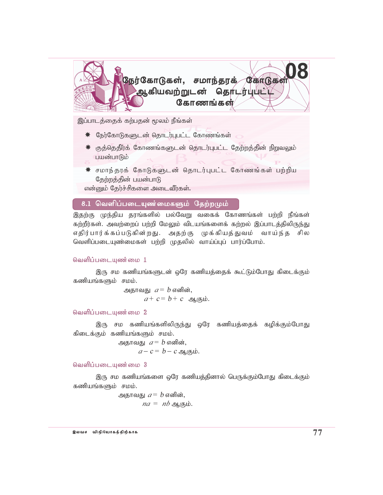

இப்பாடத்தைக் கற்பதன் மூலம் நீங்கள்

- \* நேர்கோடுகளுடன் தொடர்புபட்ட கோணங்கள்
- $\,$ ் குத்தெதிர்க் கோணங்களுடன் தொடர்புபட்ட தேற்றத்தின் நிறுவலும் பயன்பாடும்
- \* சமாந்தரக் கோடுகளுடன் தொடர்புபட்ட கோணங்கள் பற்றிய தேற்றத்தின் பயன்பாடு

என்னும் தேர்ச்சிகளை அடைவீர்கள்.

# 8.1 வெளிப்படையுண்மைகளும் தேற்றமும்

இதற்கு முந்திய தரங்களில் பல்வேறு வகைக் கோணங்கள் பற்றி நீங்கள் கற்றீர்கள். அவற்றைப் பற்றி மேலும் விடயங்களைக் கற்றல் இப்பாடத்திலிருந்து எதிர்பார்க்கப்படுகின்றது. அதற்கு முக்கியத்துவம் வாய்ந்த சில வெளிப்படையுண்மைகள் பற்றி முதலில் வாய்ப்புப் பார்ப்போம்.

## வெளிப்படையுண்மை  $1$

இரு சம கணியங்களுடன் ஒரே கணியத்தைக் கூட்டும்போது கிடைக்கும் கணியங்களும் சமம்.

> அதாவது  $a = b$  எனின்,  $a + c = b + c$  ஆகும்.

வெளிப்படையுண்மை 2

இரு சம கணியங்களிலிருந்து ஒரே கணியத்தைக் கழிக்கும்போது கிடைக்கும் கணியங்களும் சமம்.

> அதாவது  $a = b$  எனின்,  $a-c = b - c$  ஆகும்.

வெளிப்படையுண்மை 3

இரு சம கணியங்களை ஒரே கணியத்தினால் பெருக்கும்போது கிடைக்கும் கணியங்களும் சமம்.

> அதாவது  $a = b$  எனின்,  $na = nb$  ஆகும்.

യെ പെട്രിയിരുന്നു.<br>ജയഖ*േ* പെട്രിയിരുന്നു മുഖ്യപ്രവർത്തിന്റെ മുഖ്യപ്രവർത്തിന്റെ മുഖ്യപ്രവർത്തിന്റെ മുഖ്യപ്രവർത്തിന്റെ മുഖ്യപ്രവർത്തി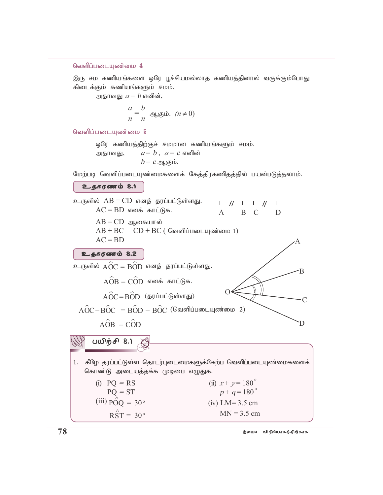## வெளிப்படையுண்மை  $4$

இரு சம கணியங்களை ஒரே பூச்சியமல்லாத கணியத்தினால் வகுக்கும்போது கிடைக்கும் கணியங்களும் சமம்.

அதாவது  $a = b$  எனின்,

$$
\frac{a}{n} = \frac{b}{n} \text{ g. } (n \neq 0)
$$

வெளிப்படையண்மை 5

ஒரே கணியத்திற்குச் சமமான கணியங்களும் சமம்.

அதாவது,  $a = b$ ,  $a = c$  எனின்  $b = c \nightharpoonup_{\mathbb{R}} \mathfrak{g}_{\mathsf{h}}$ ம்.

மேற்படி வெளிப்படையுண்மைகளைக் கேத்திரகணிதத்தில் பயன்படுத்தலாம்.

## $2.600$

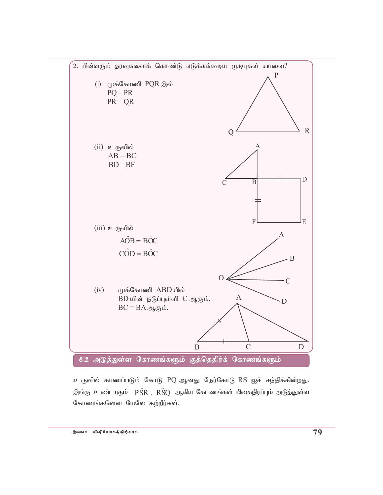

உருவில் காணப்படும் கோடு PQ ஆனது நேர்கோடு RS ஐச் சந்திக்கின்றது. இங்கு உண்டாகும்  $\hat{PSR}$ ,  $\hat{RSO}$  ஆகிய கோணங்கள் மிகைநிரப்பும் அடுத்துள்ள கோணங்களென மேலே கற்றீர்கள்.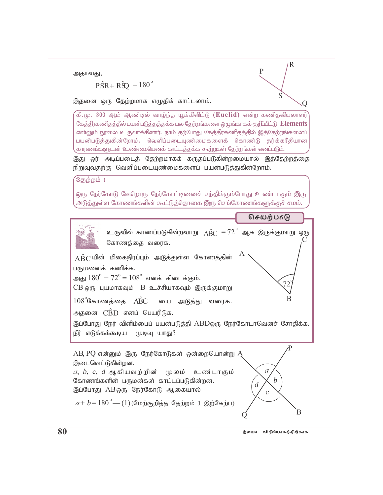அதாவது,

 $\angle$ PŜR+ RŜO = 180<sup>°</sup>

இதனை ஒரு தேற்றமாக எழுதிக் காட்டலாம்.

.<br>கி.மு. 300 ஆம் ஆண்டில் வாழ்ந்த யூக்கிளிட்டு (**Euclid)** என்ற கணிதவியலாளர் கேத்திரகணிதத்தில் பயன்படுத்தத்தக்க பல தேற்றங்களை ஒழுங்காகக் குறிப்பிட்டு Elements என்னும் நூலை உருவாக்கினார். நாம் தற்போது கேத்திரகணிதத்தில் இத்தேற்றங்களைப் பயன்படுத்துகின்றோம். வெளிப்படையுண்மைகளைக் கொண்டு தர்க்கரீதியான காரணங்களுடன் உண்மையெனக் காட்டத்தக்க கூற்றுகள் தேற்றங்கள் எனப்படும்.

இது ஓர் அடிப்படைத் தேற்றமாகக் கருதப்படுகின்றமையால் இத்தேற்றத்தை நிறுவுவதற்கு வெளிப்படையுண்மைகளைப் பயன்படுத்துகின்றோம்.

கேற்றம் 1

ஒரு நேர்கோடு வேறொரு நேர்கோட்டினைச் சந்திக்கும்போது உண்டாகும் இரு அடுத்துள்ள கோணங்களின் கூட்டுத்தொகை இரு செங்கோணங்களுக்குச் சமம்.



R

O.

 $\mathsf{P}$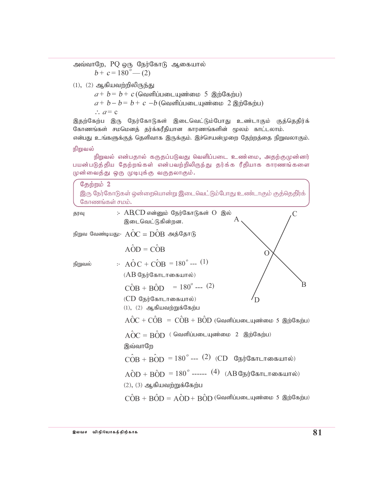அவ்வாறே, PQ ஒரு நேர்கோடு ஆகையால்  $b+c=180^{\circ}$  (2)

 $(1)$ ,  $(2)$  ஆகியவற்றிலிருந்து

 $a+b=b+c$  (வெளிப்படையுண்மை 5 இற்கேற்ப)

 $a+b-b= b+c-b$  (வெளிப்படையுண்மை 2 இற்கேற்ப)

 $\therefore a = c$ 

இதற்கேற்ப இரு நேர்கோடுகள் இடைவெட்டும்போது உண்டாகும் குத்தெதிர்க் கோணங்கள் சமமெனத் தர்க்கரீதியான காரணங்களின் மூலம் காட்டலாம். என்பது உங்களுக்குத் தெளிவாக இருக்கும். இச்செயன்முறை தேற்றத்தை நிறுவலாகும்.

### நிறுவல்

நிறுவல் என்பதால் கருதப்படுவது வெளிப்படை உண்மை, அதற்குமுன்னர் பயன்படுத்திய தேற்றங்கள் என்பவற்றிலிருந்து தர்க்க ரீதியாக காரணங்களை முன்வைத்து ஒரு முடிபுக்கு வருதலாகும்.

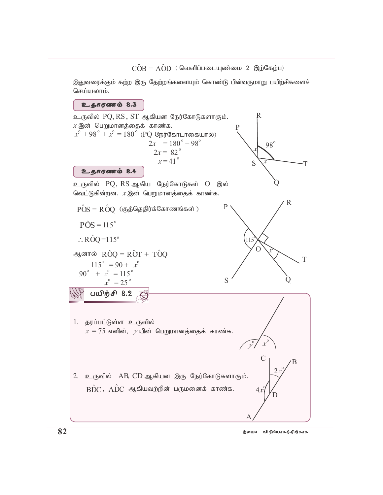$\hat{COB} = \hat{AOD}$  ( வெளிப்படையுண்மை 2 இற்கேற்ப)

இதுவரைக்கும் கற்ற இரு தேற்றங்களையும் கொண்டு பின்வருமாறு பயிற்சிகளைச் செய்யலாம்.

## உதாரணம் 8.3

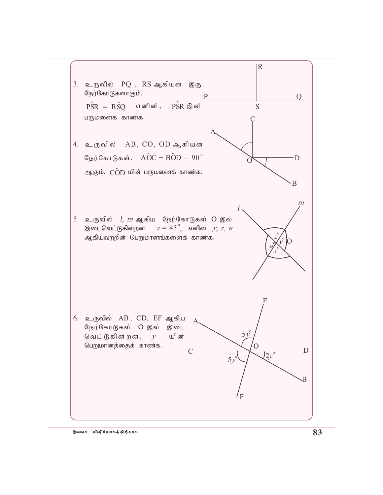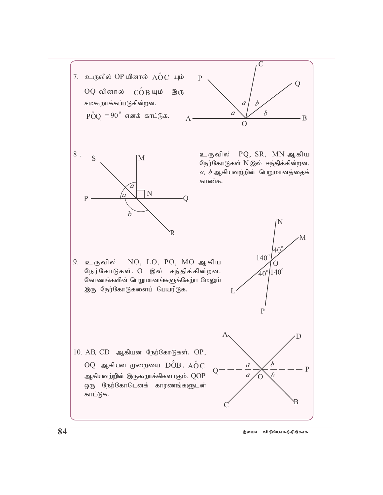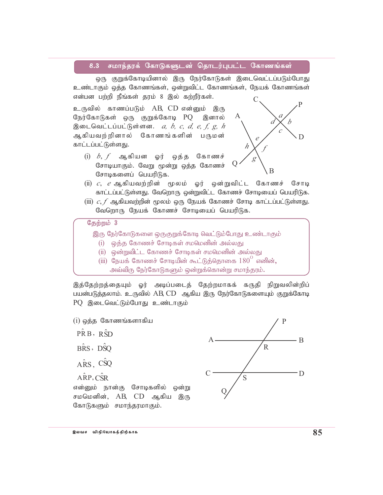#### $8.3$ சமாந்தரக் கோடுகளுடன் தொடர்புபட்ட கோணங்கள்

ஒரு குறுக்கோடியினால் இரு நேர்கோடுகள் இடைவெட்டப்படும்போது உண்டாகும் ஒக்க கோணங்கள், ஒன்றுவிட்ட கோணங்கள், நேயக் கோணங்கள் என்பன பற்றி நீங்கள் தரம் 8 இல் கற்றீர்கள்.

உருவில் காணப்படும் AB, CD என்னும் இரு நேர்கோடுகள் ஒரு குறுக்கோடி PQ இனால் இடைவெட்டப்பட்டுள்ளன.  $a, b, c, d, e, f, g, h$ ஆகியவற்றினால் கோணங்களின் பருமன் காட்டப்பட்டுள்ளது.

(i)  $b, f$  ஆகியன ஓர் ஒத்த கோணச் சோடியாகும். வேறு மூன்று ஒத்த கோணச் சோடிகளைப் பெயரிடுக.



- $\displaystyle \mathrm{(ii)}$   $c,$   $e$  ஆகியவற்றின் மூலம் ஓர் ஒன்றுவிட்ட கோணச் சோடி காட்டப்பட்டுள்ளது. வேறொரு ஒன்றுவிட்ட கோணச் சோடியைப் பெயரிடுக.
- (iii)  $c, f$  ஆகியவற்றின் மூலம் ஒரு நேயக் கோணச் சோடி காட்டப்பட்டுள்ளது. வேறொரு நேயக் கோணச் சோடியைப் பெயரிடுக.

## தேற்றம் 3

இரு நேர்கோடுகளை ஒருகுறுக்கோடி வெட்டும்போது உண்டாகும்

- (i) ஒத்த கோணச் சோடிகள் சமமெனின் அல்லது
- (ii) ஒன்றுவிட்ட கோணச் சோடிகள் சமமெனின் அல்லது
- (iii) நேயக் கோணச் சோடியின் கூட்டுத்தொகை  $180^\circ$  எனின், அவ்விரு நேர்கோடுகளும் ஒன்றுக்கொன்று சமாந்தரம்.

இத்தேற்றத்தையும் ஓர் அடிப்படைத் தேற்றமாகக் கருதி நிறுவலின்றிப் பயன்படுத்தலாம். உருவில் AB, CD ஆகிய இரு நேர்கோடுகளையும் குறுக்கோடி PQ இடைவெட்டும்போது உண்டாகும்

 $(i)$  ஒத்த கோணங்களாகிய P  $\hat{PRB}$ ,  $\hat{RSD}$  $-B$ BRS, DSO  $\overline{R}$  $A\hat{R}S$ ,  $C\hat{S}Q$  $\overline{D}$  $A$  $R$ P.C $\hat{S}R$ S என்னும் நான்கு சோடிகளில் ஒன்று சமமெனின், AB, CD ஆகிய இரு கோடுகளும் சமாந்தரமாகும்.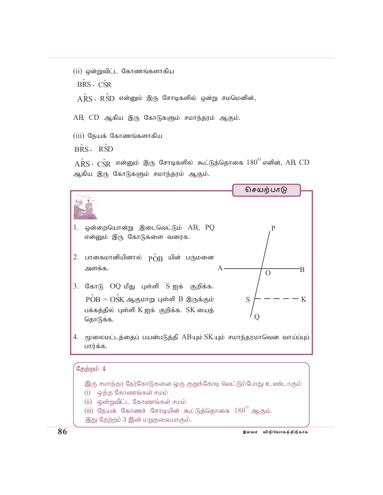(ii) ஒன்றுவிட்ட கோணங்களாகிய BRS, CSR  $\hat{ARS}$ ,  $\hat{RSD}$  என்னும் இரு சோடிகளில் ஒன்று சமமெனின், AB, CD ஆகிய இரு கோடுகளும் சமாந்தரம் ஆகும்.

 $(iii)$  நேயக் கோணங்களாகிய

BRS. RSD

 $\hat{ARS}$ ,  $\hat{CSR}$  என்னும் இரு சோடிகளில் கூட்டுத்தொகை  $180^{\rm o}$  எனின், AB, CD ஆகிய இரு கோடுகளும் சமாந்தரம் ஆகும்.



இது தேற்றம் 3 இன் மறுதலையாகும்.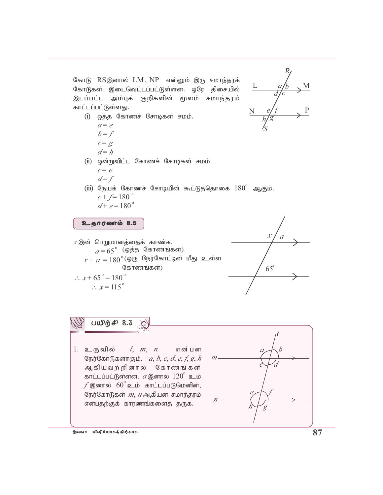கோடு RS இனால் LM, NP என்னும் இரு சமாந்தரக் கோடுகள் இடைவெட்டப்பட்டுள்ளன. ஒரே திசையில் இடப்பட்ட அம்புக் குறிகளின் மூலம் சமாந்தரம் காட்டப்பட்டுள்ளது.



- (i) ஒத்த கோணச் சோடிகள் சமம்.  $a = e$  $b = f$ 
	- $c = g$
	- $d=h$
- (ii) ஒன்றுவிட்ட கோணச் சோடிகள் சமம்.  $c = e$  $d=f$

(iii) நேயக் கோணச் சோடியின் கூட்டுத்தொகை  $180^{\circ}$  ஆகும்.  $c + f = 180^{\circ}$  $d^+ e = 180^\circ$ 

$$
a + c = 100
$$

# உதாரணம் 8.5

 $x$  இன் பெறுமானத்தைக் காண்க.  $a = 65$ <sup>°</sup> (ஒத்த கோணங்கள்)  $x + a = 180^{\circ}$ (ஒரு நேர்கோட்டின் மீது உள்ள கோணங்கள்)  $\therefore x + 65^{\circ} = 180^{\circ}$  $\therefore x = 115^{\circ}$ 



பயிற்சி 8.3

1. உருவில்  $l, m, n$ என் பன நேர்கோடுகளாகும்.  $a, b, c, d, e, f, g, h$ ஆகியவற்றினால் கோணங்கள் காட்டப்பட்டுள்ளன.  $a$  இனால்  $120^\circ$  உம்  $f$  இனால்  $60^{\circ}$  உம் காட்டப்படுமெனின், நேர்கோடுகள் *m*, *n* ஆகியன சமாந்தரம் என்பதற்குக் காரணங்களைத் தருக.

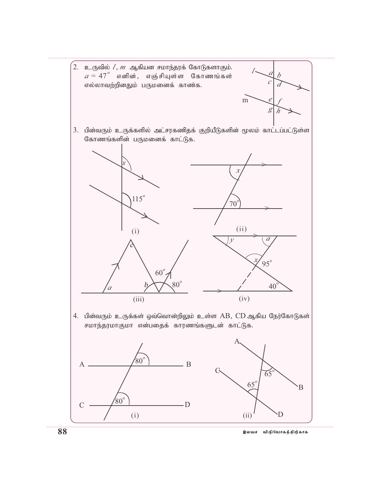$\left[ 2.$  உருவில்  $l,m$  ஆகியன சமாந்தரக் கோடுகளாகும்.  $a = 47^\circ$  எனின், எஞ்சியுள்ள கோணங்கள் எல்லாவற்றினதும் பருமனைக் காண்க.



3. பின்வரும் உருக்களில் அட்சரகணிதக் குறியீடுகளின் மூலம் காட்டப்பட்டுள்ள கோணங்களின் பருமனைக் காட்டுக.



4. பின்வரும் உருக்கள் ஒவ்வொன்றிலும் உள்ள AB, CD ஆகிய நேர்கோடுகள் சமாந்தரமாகுமா என்பதைக் காரணங்களுடன் காட்டுக.





இலவச விநியோகத்திற்காக